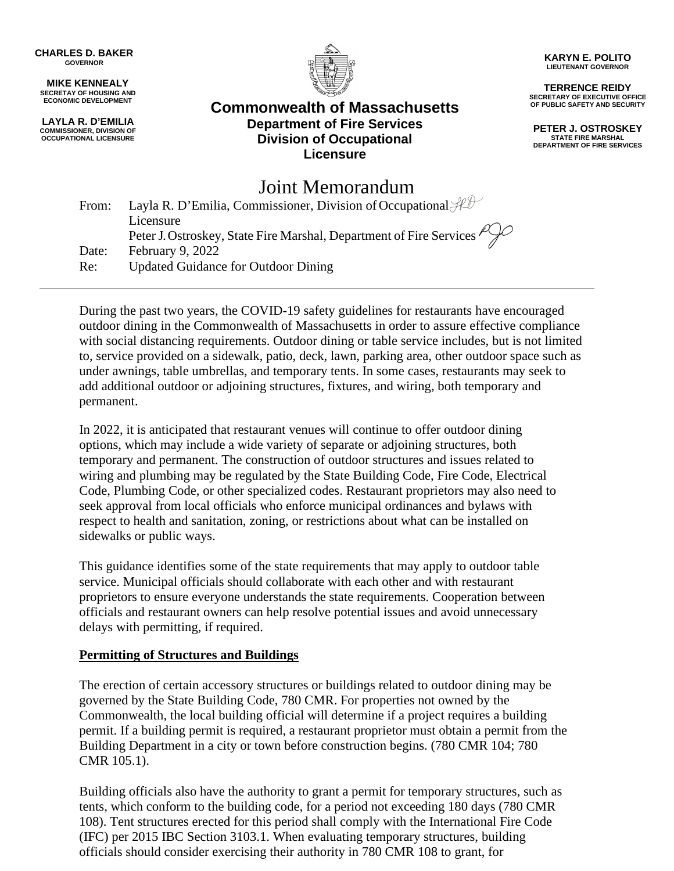**CHARLES D. BAKER GOVERNOR**

**MIKE KENNEALY SECRETAY OF HOUSING AND ECONOMIC DEVELOPMENT**

**LAYLA R. D'EMILIA COMMISSIONER, DIVISION OF OCCUPATIONAL LICENSURE**



**Commonwealth of Massachusetts Department of Fire Services Division of Occupational Licensure**

**KARYN E. POLITO LIEUTENANT GOVERNOR**

**TERRENCE REIDY SECRETARY OF EXECUTIVE OFFICE OF PUBLIC SAFETY AND SECURITY**

**PETER J. OSTROSKEY STATE FIRE MARSHAL DEPARTMENT OF FIRE SERVICES**

# Joint Memorandum

| From: | Layla R. D'Emilia, Commissioner, Division of Occupational $\mathcal{H}\mathcal{H}$ |
|-------|------------------------------------------------------------------------------------|
|       | Licensure                                                                          |
|       | Peter J. Ostroskey, State Fire Marshal, Department of Fire Services                |
| Date: | February 9, 2022                                                                   |
| Re:   | <b>Updated Guidance for Outdoor Dining</b>                                         |

During the past two years, the COVID-19 safety guidelines for restaurants have encouraged outdoor dining in the Commonwealth of Massachusetts in order to assure effective compliance with social distancing requirements. Outdoor dining or table service includes, but is not limited to, service provided on a sidewalk, patio, deck, lawn, parking area, other outdoor space such as under awnings, table umbrellas, and temporary tents. In some cases, restaurants may seek to add additional outdoor or adjoining structures, fixtures, and wiring, both temporary and permanent.

In 2022, it is anticipated that restaurant venues will continue to offer outdoor dining options, which may include a wide variety of separate or adjoining structures, both temporary and permanent. The construction of outdoor structures and issues related to wiring and plumbing may be regulated by the State Building Code, Fire Code, Electrical Code, Plumbing Code, or other specialized codes. Restaurant proprietors may also need to seek approval from local officials who enforce municipal ordinances and bylaws with respect to health and sanitation, zoning, or restrictions about what can be installed on sidewalks or public ways.

This guidance identifies some of the state requirements that may apply to outdoor table service. Municipal officials should collaborate with each other and with restaurant proprietors to ensure everyone understands the state requirements. Cooperation between officials and restaurant owners can help resolve potential issues and avoid unnecessary delays with permitting, if required.

#### **Permitting of Structures and Buildings**

The erection of certain accessory structures or buildings related to outdoor dining may be governed by the State Building Code, 780 CMR. For properties not owned by the Commonwealth, the local building official will determine if a project requires a building permit. If a building permit is required, a restaurant proprietor must obtain a permit from the Building Department in a city or town before construction begins. (780 CMR 104; 780 CMR 105.1).

Building officials also have the authority to grant a permit for temporary structures, such as tents, which conform to the building code, for a period not exceeding 180 days (780 CMR 108). Tent structures erected for this period shall comply with the International Fire Code (IFC) per 2015 IBC Section 3103.1. When evaluating temporary structures, building officials should consider exercising their authority in 780 CMR 108 to grant, for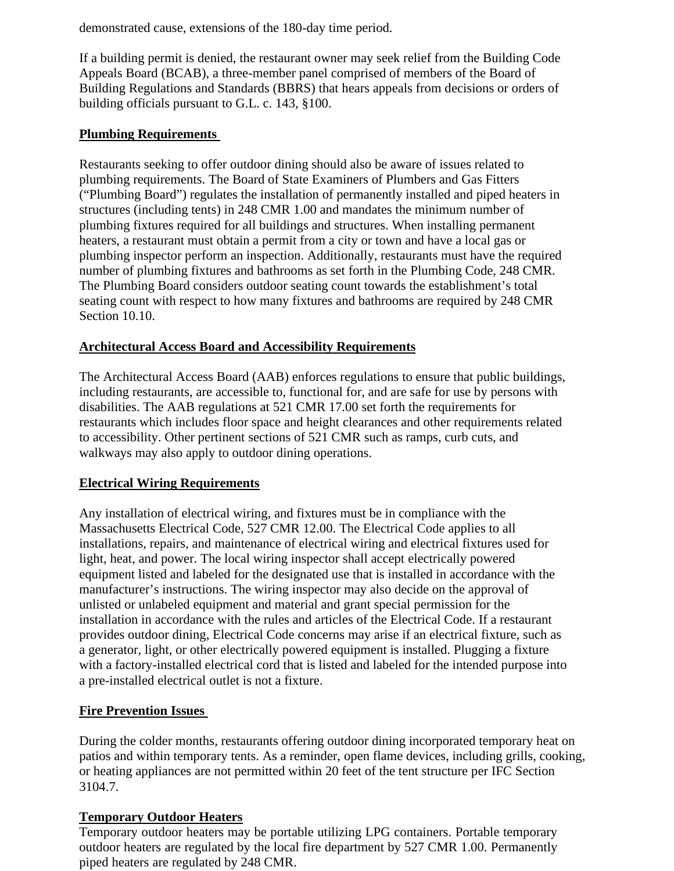demonstrated cause, extensions of the 180-day time period.

If a building permit is denied, the restaurant owner may seek relief from the Building Code Appeals Board (BCAB), a three-member panel comprised of members of the Board of Building Regulations and Standards (BBRS) that hears appeals from decisions or orders of building officials pursuant to G.L. c. 143, §100.

#### **Plumbing Requirements**

Restaurants seeking to offer outdoor dining should also be aware of issues related to plumbing requirements. The Board of State Examiners of Plumbers and Gas Fitters ("Plumbing Board") regulates the installation of permanently installed and piped heaters in structures (including tents) in 248 CMR 1.00 and mandates the minimum number of plumbing fixtures required for all buildings and structures. When installing permanent heaters, a restaurant must obtain a permit from a city or town and have a local gas or plumbing inspector perform an inspection. Additionally, restaurants must have the required number of plumbing fixtures and bathrooms as set forth in the Plumbing Code, 248 CMR. The Plumbing Board considers outdoor seating count towards the establishment's total seating count with respect to how many fixtures and bathrooms are required by 248 CMR Section 10.10.

#### **Architectural Access Board and Accessibility Requirements**

The Architectural Access Board (AAB) enforces regulations to ensure that public buildings, including restaurants, are accessible to, functional for, and are safe for use by persons with disabilities. The AAB regulations at 521 CMR 17.00 set forth the requirements for restaurants which includes floor space and height clearances and other requirements related to accessibility. Other pertinent sections of 521 CMR such as ramps, curb cuts, and walkways may also apply to outdoor dining operations.

## **Electrical Wiring Requirements**

Any installation of electrical wiring, and fixtures must be in compliance with the Massachusetts Electrical Code, 527 CMR 12.00. The Electrical Code applies to all installations, repairs, and maintenance of electrical wiring and electrical fixtures used for light, heat, and power. The local wiring inspector shall accept electrically powered equipment listed and labeled for the designated use that is installed in accordance with the manufacturer's instructions. The wiring inspector may also decide on the approval of unlisted or unlabeled equipment and material and grant special permission for the installation in accordance with the rules and articles of the Electrical Code. If a restaurant provides outdoor dining, Electrical Code concerns may arise if an electrical fixture, such as a generator, light, or other electrically powered equipment is installed. Plugging a fixture with a factory-installed electrical cord that is listed and labeled for the intended purpose into a pre-installed electrical outlet is not a fixture.

## **Fire Prevention Issues**

During the colder months, restaurants offering outdoor dining incorporated temporary heat on patios and within temporary tents. As a reminder, open flame devices, including grills, cooking, or heating appliances are not permitted within 20 feet of the tent structure per IFC Section 3104.7.

## **Temporary Outdoor Heaters**

Temporary outdoor heaters may be portable utilizing LPG containers. Portable temporary outdoor heaters are regulated by the local fire department by 527 CMR 1.00. Permanently piped heaters are regulated by 248 CMR.